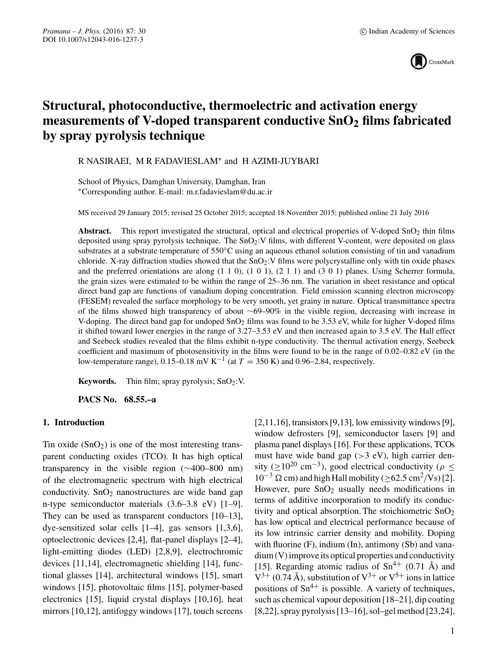

# **Structural, photoconductive, thermoelectric and activation energy measurements of V-doped transparent conductive SnO2 films fabricated by spray pyrolysis technique**

R NASIRAEI, M R FADAVIESLAM∗ and H AZIMI-JUYBARI

School of Physics, Damghan University, Damghan, Iran ∗Corresponding author. E-mail: m.r.fadavieslam@du.ac.ir

MS received 29 January 2015; revised 25 October 2015; accepted 18 November 2015; published online 21 July 2016

Abstract. This report investigated the structural, optical and electrical properties of V-doped SnO<sub>2</sub> thin films deposited using spray pyrolysis technique. The SnO<sub>2</sub>:V films, with different V-content, were deposited on glass substrates at a substrate temperature of 550°C using an aqueous ethanol solution consisting of tin and vanadium chloride. X-ray diffraction studies showed that the  $SnO<sub>2</sub>:V$  films were polycrystalline only with tin oxide phases and the preferred orientations are along (1 1 0), (1 0 1), (2 1 1) and (3 0 1) planes. Using Scherrer formula, the grain sizes were estimated to be within the range of 25–36 nm. The variation in sheet resistance and optical direct band gap are functions of vanadium doping concentration. Field emission scanning electron microscopy (FESEM) revealed the surface morphology to be very smooth, yet grainy in nature. Optical transmittance spectra of the films showed high transparency of about ∼69–90% in the visible region, decreasing with increase in V-doping. The direct band gap for undoped  $SnO<sub>2</sub>$  films was found to be 3.53 eV, while for higher V-doped films it shifted toward lower energies in the range of 3.27–3.53 eV and then increased again to 3.5 eV. The Hall effect and Seebeck studies revealed that the films exhibit n-type conductivity. The thermal activation energy, Seebeck coefficient and maximum of photosensitivity in the films were found to be in the range of 0.02–0.82 eV (in the low-temperature range), 0.15–0.18 mV K<sup>-1</sup> (at  $T = 350$  K) and 0.96–2.84, respectively.

**Keywords.** Thin film; spray pyrolysis;  $SnO<sub>2</sub>:V.$ 

**PACS No. 68.55.–a**

#### **1. Introduction**

Tin oxide  $(SnO<sub>2</sub>)$  is one of the most interesting transparent conducting oxides (TCO). It has high optical transparency in the visible region (∼400–800 nm) of the electromagnetic spectrum with high electrical conductivity.  $SnO<sub>2</sub>$  nanostructures are wide band gap n-type semiconductor materials (3.6–3.8 eV) [1–9]. They can be used as transparent conductors [10–13], dye-sensitized solar cells [1–4], gas sensors [1,3,6], optoelectronic devices [2,4], flat-panel displays [2–4], light-emitting diodes (LED) [2,8,9], electrochromic devices [11,14], electromagnetic shielding [14], functional glasses [14], architectural windows [15], smart windows [15], photovoltaic films [15], polymer-based electronics [15], liquid crystal displays [10,16], heat mirrors [10,12], antifoggy windows [17], touch screens

 $[2,11,16]$ , transistors  $[9,13]$ , low emissivity windows  $[9]$ , window defrosters [9], semiconductor lasers [9] and plasma panel displays [16]. For these applications, TCOs must have wide band gap  $(>3$  eV), high carrier density ( $\geq 10^{20}$  cm<sup>-3</sup>), good electrical conductivity ( $\rho \leq$  $10^{-3}$  Ω cm) and high Hall mobility ( $\geq$  62.5 cm<sup>2</sup>/Vs) [2]. However, pure  $SnO<sub>2</sub>$  usually needs modifications in terms of additive incorporation to modify its conductivity and optical absorption. The stoichiometric  $SnO<sub>2</sub>$ has low optical and electrical performance because of its low intrinsic carrier density and mobility. Doping with fluorine (F), indium (In), antimony (Sb) and vanadium (V) improve its optical properties and conductivity [15]. Regarding atomic radius of  $Sn^{4+}$  (0.71 Å) and  $V^{3+}$  (0.74 Å), substitution of  $V^{3+}$  or  $V^{5+}$  ions in lattice positions of  $\text{Sn}^{4+}$  is possible. A variety of techniques, such as chemical vapour deposition [18–21], dip coating [8,22], spray pyrolysis [13–16], sol–gel method [23,24],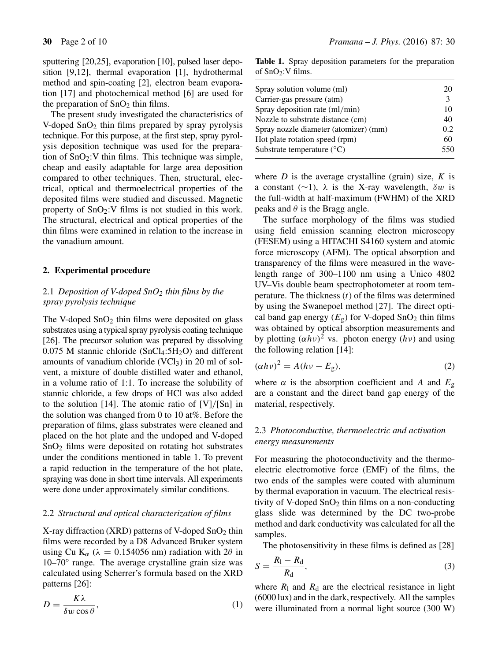sputtering [20,25], evaporation [10], pulsed laser deposition [9,12], thermal evaporation [1], hydrothermal method and spin-coating [2], electron beam evaporation [17] and photochemical method [6] are used for the preparation of  $SnO<sub>2</sub>$  thin films.

The present study investigated the characteristics of V-doped  $SnO<sub>2</sub>$  thin films prepared by spray pyrolysis technique. For this purpose, at the first step, spray pyrolysis deposition technique was used for the preparation of  $SnO<sub>2</sub>:V$  thin films. This technique was simple, cheap and easily adaptable for large area deposition compared to other techniques. Then, structural, electrical, optical and thermoelectrical properties of the deposited films were studied and discussed. Magnetic property of  $SnO<sub>2</sub>:V$  films is not studied in this work. The structural, electrical and optical properties of the thin films were examined in relation to the increase in the vanadium amount.

#### **2. Experimental procedure**

# 2.1 *Deposition of V-doped SnO2 thin films by the spray pyrolysis technique*

The V-doped  $SnO<sub>2</sub>$  thin films were deposited on glass substrates using a typical spray pyrolysis coating technique [26]. The precursor solution was prepared by dissolving  $0.075$  M stannic chloride (SnCl<sub>4</sub>:5H<sub>2</sub>O) and different amounts of vanadium chloride  $(VCl<sub>3</sub>)$  in 20 ml of solvent, a mixture of double distilled water and ethanol, in a volume ratio of 1:1. To increase the solubility of stannic chloride, a few drops of HCl was also added to the solution [14]. The atomic ratio of [V]/[Sn] in the solution was changed from 0 to 10 at%. Before the preparation of films, glass substrates were cleaned and placed on the hot plate and the undoped and V-doped SnO2 films were deposited on rotating hot substrates under the conditions mentioned in table 1. To prevent a rapid reduction in the temperature of the hot plate, spraying was done in short time intervals. All experiments were done under approximately similar conditions.

#### 2.2 *Structural and optical characterization of films*

X-ray diffraction (XRD) patterns of V-doped  $SnO<sub>2</sub>$  thin films were recorded by a D8 Advanced Bruker system using Cu K<sub>α</sub> ( $\lambda = 0.154056$  nm) radiation with 2θ in 10–70◦ range. The average crystalline grain size was calculated using Scherrer's formula based on the XRD patterns [26]:

$$
D = \frac{K\lambda}{\delta w \cos \theta},\tag{1}
$$

Table 1. Spray deposition parameters for the preparation of  $SnO<sub>2</sub>:V$  films.

| Spray solution volume (ml)            | 20  |
|---------------------------------------|-----|
| Carrier-gas pressure (atm)            | 3   |
| Spray deposition rate (ml/min)        | 10  |
| Nozzle to substrate distance (cm)     | 40  |
| Spray nozzle diameter (atomizer) (mm) | 0.2 |
| Hot plate rotation speed (rpm)        | 60  |
| Substrate temperature $({}^{\circ}C)$ | 550 |
|                                       |     |

where  $D$  is the average crystalline (grain) size,  $K$  is a constant (∼1),  $\lambda$  is the X-ray wavelength,  $\delta w$  is the full-width at half-maximum (FWHM) of the XRD peaks and  $\theta$  is the Bragg angle.

The surface morphology of the films was studied using field emission scanning electron microscopy (FESEM) using a HITACHI S4160 system and atomic force microscopy (AFM). The optical absorption and transparency of the films were measured in the wavelength range of 300–1100 nm using a Unico 4802 UV–Vis double beam spectrophotometer at room temperature. The thickness  $(t)$  of the films was determined by using the Swanepoel method [27]. The direct optical band gap energy  $(E_g)$  for V-doped SnO<sub>2</sub> thin films was obtained by optical absorption measurements and by plotting  $(\alpha h \nu)^2$  vs. photon energy  $(h \nu)$  and using the following relation [14]:

$$
(\alpha h v)^2 = A(hv - E_g),\tag{2}
$$

where  $\alpha$  is the absorption coefficient and A and  $E_{\rm g}$ are a constant and the direct band gap energy of the material, respectively.

# 2.3 *Photoconducti*v*e, thermoelectric and acti*v*ation energy measurements*

For measuring the photoconductivity and the thermoelectric electromotive force (EMF) of the films, the two ends of the samples were coated with aluminum by thermal evaporation in vacuum. The electrical resistivity of V-doped  $SnO<sub>2</sub>$  thin films on a non-conducting glass slide was determined by the DC two-probe method and dark conductivity was calculated for all the samples.

The photosensitivity in these films is defined as [28]

$$
S = \frac{R_1 - R_d}{R_d},\tag{3}
$$

where  $R_1$  and  $R_d$  are the electrical resistance in light (6000 lux) and in the dark, respectively. All the samples were illuminated from a normal light source (300 W)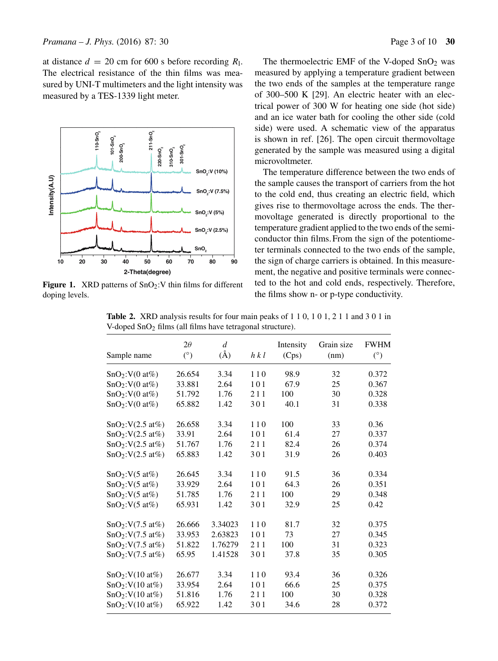at distance  $d = 20$  cm for 600 s before recording  $R_1$ . The electrical resistance of the thin films was measured by UNI-T multimeters and the light intensity was measured by a TES-1339 light meter.



**Figure 1.** XRD patterns of  $SnO<sub>2</sub>:V$  thin films for different doping levels.

The thermoelectric EMF of the V-doped  $SnO<sub>2</sub>$  was measured by applying a temperature gradient between the two ends of the samples at the temperature range of 300–500 K [29]. An electric heater with an electrical power of 300 W for heating one side (hot side) and an ice water bath for cooling the other side (cold side) were used. A schematic view of the apparatus is shown in ref. [26]. The open circuit thermovoltage generated by the sample was measured using a digital microvoltmeter.

The temperature difference between the two ends of the sample causes the transport of carriers from the hot to the cold end, thus creating an electric field, which gives rise to thermovoltage across the ends. The thermovoltage generated is directly proportional to the temperature gradient applied to the two ends of the semiconductor thin films. From the sign of the potentiometer terminals connected to the two ends of the sample, the sign of charge carriers is obtained. In this measurement, the negative and positive terminals were connected to the hot and cold ends, respectively. Therefore, the films show n- or p-type conductivity.

| Sample name                  | $2\theta$<br>$(^\circ)$ | $\overline{d}$<br>$(\AA)$ | h k l | Intensity<br>(Cps) | Grain size<br>(nm) | <b>FWHM</b><br>$(^\circ)$ |
|------------------------------|-------------------------|---------------------------|-------|--------------------|--------------------|---------------------------|
| SnO <sub>2</sub> :V(0 at%)   | 26.654                  | 3.34                      | 110   | 98.9               | 32                 | 0.372                     |
| SnO <sub>2</sub> :V(0 at%)   | 33.881                  | 2.64                      | 101   | 67.9               | 25                 | 0.367                     |
| SnO <sub>2</sub> :V(0 at%)   | 51.792                  | 1.76                      | 211   | 100                | 30                 | 0.328                     |
| SnO <sub>2</sub> :V(0 at%)   | 65.882                  | 1.42                      | 301   | 40.1               | 31                 | 0.338                     |
| SnO <sub>2</sub> :V(2.5 at%) | 26.658                  | 3.34                      | 110   | 100                | 33                 | 0.36                      |
| SnO <sub>2</sub> :V(2.5 at%) | 33.91                   | 2.64                      | 101   | 61.4               | 27                 | 0.337                     |
| SnO <sub>2</sub> :V(2.5 at%) | 51.767                  | 1.76                      | 211   | 82.4               | 26                 | 0.374                     |
| SnO <sub>2</sub> :V(2.5 at%) | 65.883                  | 1.42                      | 301   | 31.9               | 26                 | 0.403                     |
| SnO <sub>2</sub> :V(5 at%)   | 26.645                  | 3.34                      | 110   | 91.5               | 36                 | 0.334                     |
| SnO <sub>2</sub> :V(5 at%)   | 33.929                  | 2.64                      | 101   | 64.3               | 26                 | 0.351                     |
| SnO <sub>2</sub> :V(5 at%)   | 51.785                  | 1.76                      | 211   | 100                | 29                 | 0.348                     |
| SnO <sub>2</sub> :V(5 at%)   | 65.931                  | 1.42                      | 301   | 32.9               | 25                 | 0.42                      |
| SnO <sub>2</sub> :V(7.5 at%) | 26.666                  | 3.34023                   | 110   | 81.7               | 32                 | 0.375                     |
| SnO <sub>2</sub> :V(7.5 at%) | 33.953                  | 2.63823                   | 101   | 73                 | 27                 | 0.345                     |
| SnO <sub>2</sub> :V(7.5 at%) | 51.822                  | 1.76279                   | 211   | 100                | 31                 | 0.323                     |
| SnO <sub>2</sub> :V(7.5 at%) | 65.95                   | 1.41528                   | 301   | 37.8               | 35                 | 0.305                     |
| SnO <sub>2</sub> :V(10 at%)  | 26.677                  | 3.34                      | 110   | 93.4               | 36                 | 0.326                     |
| SnO <sub>2</sub> :V(10 at%)  | 33.954                  | 2.64                      | 101   | 66.6               | 25                 | 0.375                     |
| SnO <sub>2</sub> :V(10at%)   | 51.816                  | 1.76                      | 211   | 100                | 30                 | 0.328                     |
| SnO <sub>2</sub> :V(10 at%)  | 65.922                  | 1.42                      | 301   | 34.6               | 28                 | 0.372                     |

**Table 2.** XRD analysis results for four main peaks of 1 1 0, 1 0 1, 2 1 1 and 3 0 1 in V-doped SnO2 films (all films have tetragonal structure).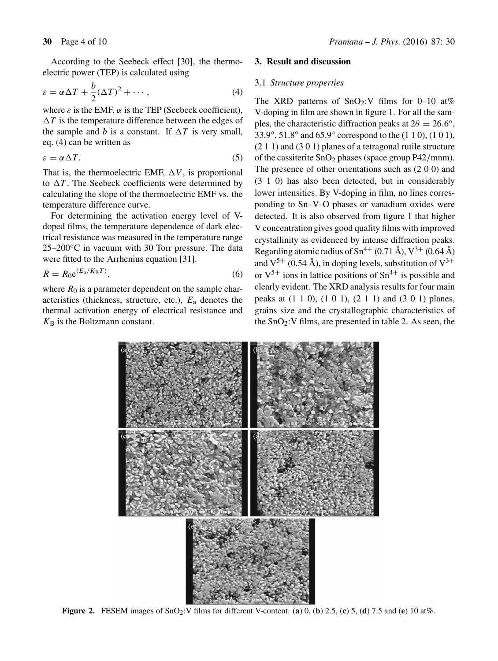$$
\varepsilon = \alpha \Delta T + \frac{b}{2} (\Delta T)^2 + \cdots, \tag{4}
$$

electric power (TEP) is calculated using

where  $\varepsilon$  is the EMF,  $\alpha$  is the TEP (Seebeck coefficient),  $\Delta T$  is the temperature difference between the edges of the sample and b is a constant. If  $\Delta T$  is very small, eq. (4) can be written as

$$
\varepsilon = \alpha \Delta T. \tag{5}
$$

That is, the thermoelectric EMF,  $\Delta V$ , is proportional to  $\Delta T$ . The Seebeck coefficients were determined by calculating the slope of the thermoelectric EMF vs. the temperature difference curve.

For determining the activation energy level of Vdoped films, the temperature dependence of dark electrical resistance was measured in the temperature range  $25-200\degree$ C in vacuum with 30 Torr pressure. The data were fitted to the Arrhenius equation [31].

$$
R = R_0 e^{(E_a/K_B T)},\tag{6}
$$

where  $R_0$  is a parameter dependent on the sample characteristics (thickness, structure, etc.),  $E_a$  denotes the thermal activation energy of electrical resistance and  $K_{\rm B}$  is the Boltzmann constant.

# **3. Result and discussion**

## 3.1 *Structure properties*

The XRD patterns of  $SnO_2:V$  films for 0–10 at% V-doping in film are shown in figure 1. For all the samples, the characteristic diffraction peaks at  $2\theta = 26.6°$ , 33.9◦, 51.8◦ and 65.9◦ correspond to the (1 1 0), (1 0 1), (2 1 1) and (3 0 1) planes of a tetragonal rutile structure of the cassiterite  $SnO<sub>2</sub>$  phases (space group P42/mnm). The presence of other orientations such as (2 0 0) and (3 1 0) has also been detected, but in considerably lower intensities. By V-doping in film, no lines corresponding to Sn–V–O phases or vanadium oxides were detected. It is also observed from figure 1 that higher V concentration gives good quality films with improved crystallinity as evidenced by intense diffraction peaks. Regarding atomic radius of  $\text{Sn}^{4+}$  (0.71 Å),  $\text{V}^{3+}$  (0.64 Å) and  $V^{5+}$  (0.54 Å), in doping levels, substitution of  $V^{3+}$ or  $V^{5+}$  ions in lattice positions of  $Sn^{4+}$  is possible and clearly evident. The XRD analysis results for four main peaks at (1 1 0), (1 0 1), (2 1 1) and (3 0 1) planes, grains size and the crystallographic characteristics of the  $SnO<sub>2</sub>:V$  films, are presented in table 2. As seen, the



**Figure 2.** FESEM images of SnO2:V films for different V-content: (**a**) 0, (**b**) 2.5, (**c**) 5, (**d**) 7.5 and (**e**) 10 at%.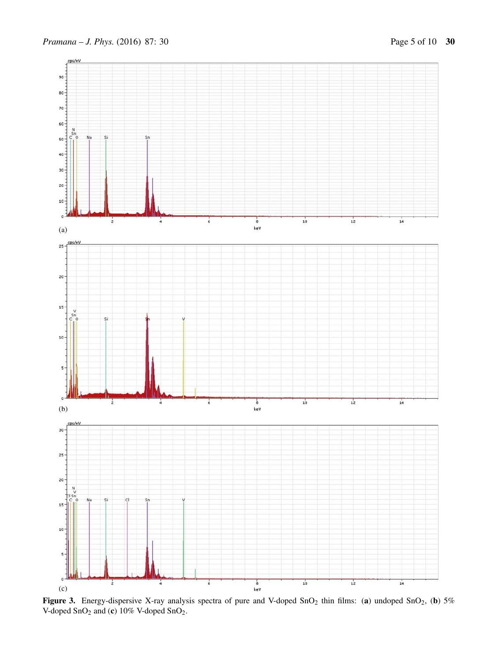

Figure 3. Energy-dispersive X-ray analysis spectra of pure and V-doped SnO<sub>2</sub> thin films: (a) undoped SnO<sub>2</sub>, (b) 5% V-doped SnO2 and (**c**) 10% V-doped SnO2.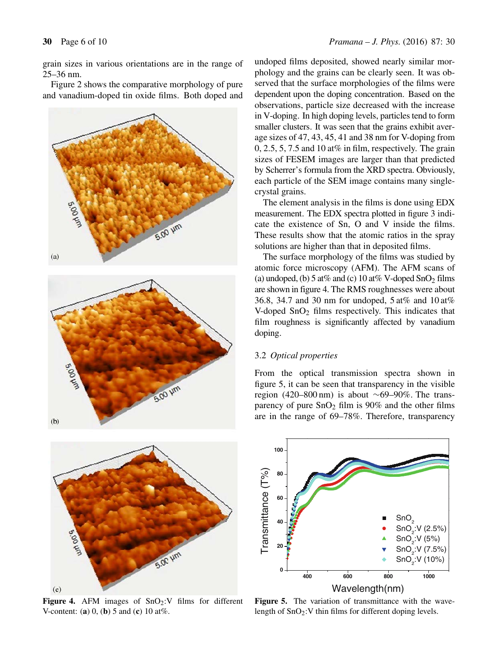grain sizes in various orientations are in the range of 25–36 nm.

Figure 2 shows the comparative morphology of pure and vanadium-doped tin oxide films. Both doped and



Figure 4. AFM images of SnO<sub>2</sub>:V films for different V-content: (**a**) 0, (**b**) 5 and (**c**) 10 at%.

undoped films deposited, showed nearly similar morphology and the grains can be clearly seen. It was observed that the surface morphologies of the films were dependent upon the doping concentration. Based on the observations, particle size decreased with the increase in V-doping. In high doping levels, particles tend to form smaller clusters. It was seen that the grains exhibit average sizes of 47, 43, 45, 41 and 38 nm for V-doping from  $0, 2.5, 5, 7.5$  and 10 at% in film, respectively. The grain sizes of FESEM images are larger than that predicted by Scherrer's formula from the XRD spectra. Obviously, each particle of the SEM image contains many singlecrystal grains.

The element analysis in the films is done using EDX measurement. The EDX spectra plotted in figure 3 indicate the existence of Sn, O and V inside the films. These results show that the atomic ratios in the spray solutions are higher than that in deposited films.

The surface morphology of the films was studied by atomic force microscopy (AFM). The AFM scans of (a) undoped, (b)  $5 \text{ at} \%$  and (c)  $10 \text{ at} %$  V-doped  $\text{SnO}_2$  films are shown in figure 4. The RMS roughnesses were about 36.8, 34.7 and 30 nm for undoped, 5 at% and 10 at% V-doped  $SnO<sub>2</sub>$  films respectively. This indicates that film roughness is significantly affected by vanadium doping.

# 3.2 *Optical properties*

From the optical transmission spectra shown in figure 5, it can be seen that transparency in the visible region (420–800 nm) is about ∼69–90%. The transparency of pure  $SnO<sub>2</sub>$  film is 90% and the other films are in the range of 69–78%. Therefore, transparency



Figure 5. The variation of transmittance with the wavelength of SnO2:V thin films for different doping levels.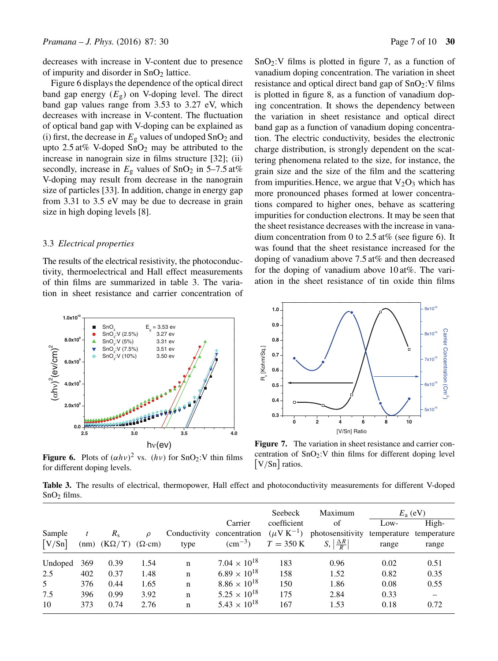decreases with increase in V-content due to presence of impurity and disorder in  $SnO<sub>2</sub>$  lattice.

Figure 6 displays the dependence of the optical direct band gap energy  $(E_{g})$  on V-doping level. The direct band gap values range from 3.53 to 3.27 eV, which decreases with increase in V-content. The fluctuation of optical band gap with V-doping can be explained as (i) first, the decrease in  $E_g$  values of undoped  $SnO_2$  and upto  $2.5 \text{ at} \%$  V-doped  $SnO<sub>2</sub>$  may be attributed to the increase in nanograin size in films structure [32]; (ii) secondly, increase in  $E<sub>g</sub>$  values of SnO<sub>2</sub> in 5–7.5 at% V-doping may result from decrease in the nanograin size of particles [33]. In addition, change in energy gap from 3.31 to 3.5 eV may be due to decrease in grain size in high doping levels [8].

## 3.3 *Electrical properties*

The results of the electrical resistivity, the photoconductivity, thermoelectrical and Hall effect measurements of thin films are summarized in table 3. The variation in sheet resistance and carrier concentration of



**Figure 6.** Plots of  $(\alpha h \nu)^2$  vs.  $(h \nu)$  for SnO<sub>2</sub>:V thin films for different doping levels.

 $SnO<sub>2</sub>:V$  films is plotted in figure 7, as a function of vanadium doping concentration. The variation in sheet resistance and optical direct band gap of  $SnO<sub>2</sub>:V$  films is plotted in figure 8, as a function of vanadium doping concentration. It shows the dependency between the variation in sheet resistance and optical direct band gap as a function of vanadium doping concentration. The electric conductivity, besides the electronic charge distribution, is strongly dependent on the scattering phenomena related to the size, for instance, the grain size and the size of the film and the scattering from impurities. Hence, we argue that  $V_2O_3$  which has more pronounced phases formed at lower concentrations compared to higher ones, behave as scattering impurities for conduction electrons. It may be seen that the sheet resistance decreases with the increase in vanadium concentration from 0 to 2.5 at% (see figure 6). It was found that the sheet resistance increased for the doping of vanadium above 7.5 at% and then decreased for the doping of vanadium above 10 at%. The variation in the sheet resistance of tin oxide thin films



**Figure 7.** The variation in sheet resistance and carrier concentration of  $SnO<sub>2</sub>:V$  thin films for different doping level [V/Sn] ratios.

**Table 3.** The results of electrical, thermopower, Hall effect and photoconductivity measurements for different V-doped SnO<sub>2</sub> films.

|                |     |                             |                |             |                            | Seebeck             | Maximum                                |             | $E_{\rm a}$ (eV) |
|----------------|-----|-----------------------------|----------------|-------------|----------------------------|---------------------|----------------------------------------|-------------|------------------|
|                |     |                             |                |             | Carrier                    | coefficient         | of                                     | Low-        | High-            |
| Sample         |     | $R_{\rm c}$                 | $\mathcal{O}$  |             | Conductivity concentration | $(\mu V K^{-1})$    | photosensitivity                       | temperature | temperature      |
| [V/Sn]         |     | $(nm)$ $(K\Omega/\Upsilon)$ | $(\Omega$ ·cm) | type        | $\rm (cm^{-3})$            | $T = 350 \text{ K}$ | $S, \left  \frac{\Delta R}{R} \right $ | range       | range            |
| Undoped        | 369 | 0.39                        | 1.54           | n           | $7.04 \times 10^{18}$      | 183                 | 0.96                                   | 0.02        | 0.51             |
| 2.5            | 402 | 0.37                        | 1.48           | $\mathbf n$ | $6.89 \times 10^{18}$      | 158                 | 1.52                                   | 0.82        | 0.35             |
| $\mathfrak{S}$ | 376 | 0.44                        | 1.65           | $\mathbf n$ | $8.86 \times 10^{18}$      | 150                 | 1.86                                   | 0.08        | 0.55             |
| 7.5            | 396 | 0.99                        | 3.92           | n           | $5.25 \times 10^{18}$      | 175                 | 2.84                                   | 0.33        |                  |
| 10             | 373 | 0.74                        | 2.76           | $\mathbf n$ | $5.43 \times 10^{18}$      | 167                 | 1.53                                   | 0.18        | 0.72             |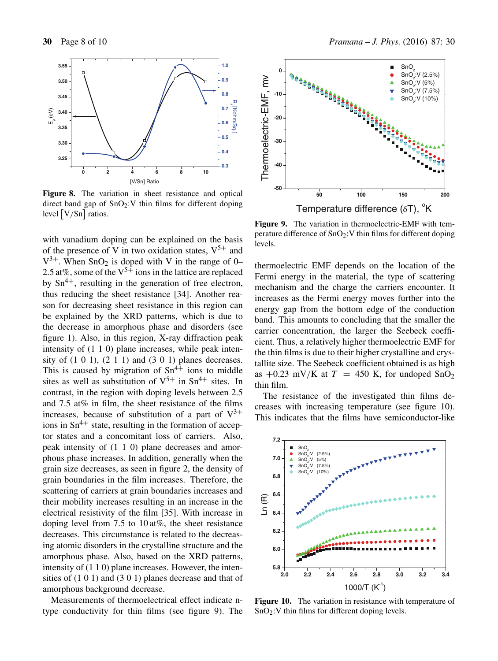

**Figure 8.** The variation in sheet resistance and optical direct band gap of  $SnO<sub>2</sub>:V$  thin films for different doping level  $\left[ \frac{\text{V}}{\text{Sn}} \right]$  ratios.

with vanadium doping can be explained on the basis of the presence of V in two oxidation states,  $V^{5+}$  and  $V^{3+}$ . When SnO<sub>2</sub> is doped with V in the range of 0– 2.5 at%, some of the  $V^{5+}$  ions in the lattice are replaced by  $\text{Sn}^{4+}$ , resulting in the generation of free electron, thus reducing the sheet resistance [34]. Another reason for decreasing sheet resistance in this region can be explained by the XRD patterns, which is due to the decrease in amorphous phase and disorders (see figure 1). Also, in this region, X-ray diffraction peak intensity of (1 1 0) plane increases, while peak intensity of  $(1\ 0\ 1)$ ,  $(2\ 1\ 1)$  and  $(3\ 0\ 1)$  planes decreases. This is caused by migration of  $\text{Sn}^{4+}$  ions to middle sites as well as substitution of  $V^{5+}$  in Sn<sup>4+</sup> sites. In contrast, in the region with doping levels between 2.5 and 7.5 at% in film, the sheet resistance of the films increases, because of substitution of a part of  $V^{3+}$ ions in  $\text{Sn}^{4+}$  state, resulting in the formation of acceptor states and a concomitant loss of carriers. Also, peak intensity of (1 1 0) plane decreases and amorphous phase increases. In addition, generally when the grain size decreases, as seen in figure 2, the density of grain boundaries in the film increases. Therefore, the scattering of carriers at grain boundaries increases and their mobility increases resulting in an increase in the electrical resistivity of the film [35]. With increase in doping level from 7.5 to 10 at%, the sheet resistance decreases. This circumstance is related to the decreasing atomic disorders in the crystalline structure and the amorphous phase. Also, based on the XRD patterns, intensity of (1 1 0) plane increases. However, the intensities of (1 0 1) and (3 0 1) planes decrease and that of amorphous background decrease.

Measurements of thermoelectrical effect indicate ntype conductivity for thin films (see figure 9). The



Figure 9. The variation in thermoelectric-EMF with temperature difference of  $SnO<sub>2</sub>:V$  thin films for different doping levels.

thermoelectric EMF depends on the location of the Fermi energy in the material, the type of scattering mechanism and the charge the carriers encounter. It increases as the Fermi energy moves further into the energy gap from the bottom edge of the conduction band. This amounts to concluding that the smaller the carrier concentration, the larger the Seebeck coefficient. Thus, a relatively higher thermoelectric EMF for the thin films is due to their higher crystalline and crystallite size. The Seebeck coefficient obtained is as high as  $+0.23$  mV/K at  $T = 450$  K, for undoped SnO<sub>2</sub> thin film.

The resistance of the investigated thin films decreases with increasing temperature (see figure 10). This indicates that the films have semiconductor-like



**Figure 10.** The variation in resistance with temperature of SnO2:V thin films for different doping levels.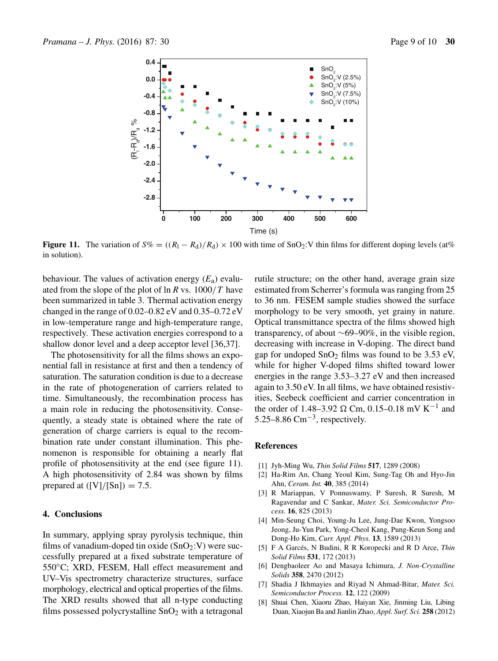

**Figure 11.** The variation of  $S\% = ((R_1 - R_d)/R_d) \times 100$  with time of SnO<sub>2</sub>:V thin films for different doping levels (at%) in solution).

behaviour. The values of activation energy  $(E_a)$  evaluated from the slope of the plot of ln *R* vs. 1000/T have been summarized in table 3. Thermal activation energy changed in the range of 0.02–0.82 eV and 0.35–0.72 eV in low-temperature range and high-temperature range, respectively. These activation energies correspond to a shallow donor level and a deep acceptor level [36,37].

The photosensitivity for all the films shows an exponential fall in resistance at first and then a tendency of saturation. The saturation condition is due to a decrease in the rate of photogeneration of carriers related to time. Simultaneously, the recombination process has a main role in reducing the photosensitivity. Consequently, a steady state is obtained where the rate of generation of charge carriers is equal to the recombination rate under constant illumination. This phenomenon is responsible for obtaining a nearly flat profile of photosensitivity at the end (see figure 11). A high photosensitivity of 2.84 was shown by films prepared at  $([V]/[Sn]) = 7.5$ .

# **4. Conclusions**

In summary, applying spray pyrolysis technique, thin films of vanadium-doped tin oxide  $(SnO<sub>2</sub>:V)$  were successfully prepared at a fixed substrate temperature of 550◦C; XRD, FESEM, Hall effect measurement and UV–Vis spectrometry characterize structures, surface morphology, electrical and optical properties of the films. The XRD results showed that all n-type conducting films possessed polycrystalline  $SnO<sub>2</sub>$  with a tetragonal rutile structure; on the other hand, average grain size estimated from Scherrer's formula was ranging from 25 to 36 nm. FESEM sample studies showed the surface morphology to be very smooth, yet grainy in nature. Optical transmittance spectra of the films showed high transparency, of about ∼69–90%, in the visible region, decreasing with increase in V-doping. The direct band gap for undoped  $SnO<sub>2</sub>$  films was found to be 3.53 eV, while for higher V-doped films shifted toward lower energies in the range 3.53–3.27 eV and then increased again to 3.50 eV. In all films, we have obtained resistivities, Seebeck coefficient and carrier concentration in the order of 1.48–3.92  $\Omega$  Cm, 0.15–0.18 mV K<sup>-1</sup> and 5.25–8.86  $\text{Cm}^{-3}$ , respectively.

## **References**

- [1] Jyh-Ming Wu, *Thin Solid Films* **517**, 1289 (2008)
- [2] Ha-Rim An, Chang Yeoul Kim, Sung-Tag Oh and Hyo-Jin Ahn, *Ceram. Int.* **40**, 385 (2014)
- [3] R Mariappan, V Ponnuswamy, P Suresh, R Suresh, M Ragavendar and C Sankar, *Mater. Sci. Semiconductor Process.* **16**, 825 (2013)
- [4] Min-Seung Choi, Young-Ju Lee, Jung-Dae Kwon, Yongsoo Jeong, Ju-Yun Park, Yong-Cheol Kang, Pung-Keun Song and Dong-Ho Kim, *Curr. Appl. Phys.* **13**, 1589 (2013)
- [5] F A Garcés, N Budini, R R Koropecki and R D Arce, *Thin Solid Films* **531**, 172 (2013)
- [6] Dengbaoleer Ao and Masaya Ichimura, *J. Non-Crystalline Solids* **358**, 2470 (2012)
- [7] Shadia J Ikhmayies and Riyad N Ahmad-Bitar, *Mater. Sci. Semiconductor Process.* **12**, 122 (2009)
- [8] Shuai Chen, Xiaoru Zhao, Haiyan Xie, Jinming Liu, Libing Duan, Xiaojun Ba and Jianlin Zhao, *Appl. Surf. Sci.* **258** (2012)